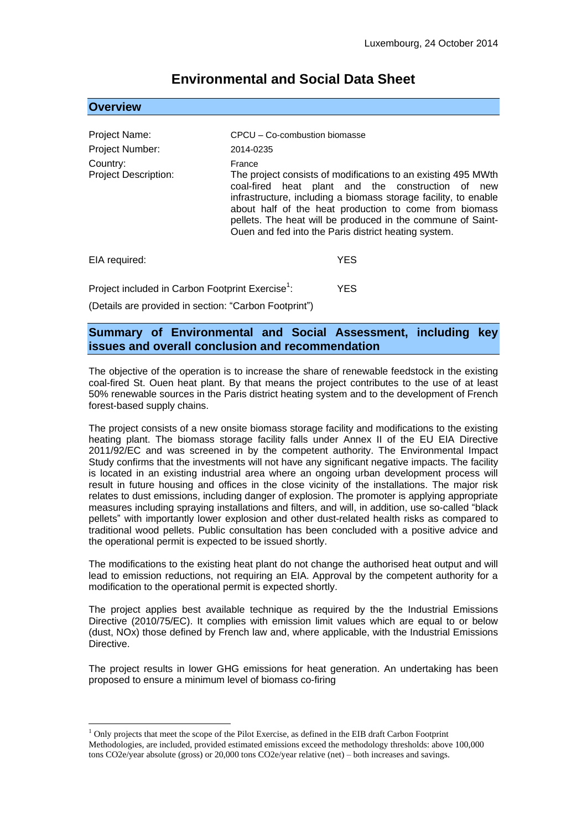# **Overview** Project Name: CPCU – Co-combustion biomasse Project Number: 2014-0235 Country: France Project Description: The project consists of modifications to an existing 495 MWth coal-fired heat plant and the construction of new infrastructure, including a biomass storage facility, to enable about half of the heat production to come from biomass pellets. The heat will be produced in the commune of Saint-Ouen and fed into the Paris district heating system. EIA required: YES

# **Environmental and Social Data Sheet**

Project included in Carbon Footprint Exercise<sup>1</sup>: : YES (Details are provided in section: "Carbon Footprint")

## **Summary of Environmental and Social Assessment, including key issues and overall conclusion and recommendation**

The objective of the operation is to increase the share of renewable feedstock in the existing coal-fired St. Ouen heat plant. By that means the project contributes to the use of at least 50% renewable sources in the Paris district heating system and to the development of French forest-based supply chains.

The project consists of a new onsite biomass storage facility and modifications to the existing heating plant. The biomass storage facility falls under Annex II of the EU EIA Directive 2011/92/EC and was screened in by the competent authority. The Environmental Impact Study confirms that the investments will not have any significant negative impacts. The facility is located in an existing industrial area where an ongoing urban development process will result in future housing and offices in the close vicinity of the installations. The major risk relates to dust emissions, including danger of explosion. The promoter is applying appropriate measures including spraying installations and filters, and will, in addition, use so-called "black pellets" with importantly lower explosion and other dust-related health risks as compared to traditional wood pellets. Public consultation has been concluded with a positive advice and the operational permit is expected to be issued shortly.

The modifications to the existing heat plant do not change the authorised heat output and will lead to emission reductions, not requiring an EIA. Approval by the competent authority for a modification to the operational permit is expected shortly.

The project applies best available technique as required by the the Industrial Emissions Directive (2010/75/EC). It complies with emission limit values which are equal to or below (dust, NOx) those defined by French law and, where applicable, with the Industrial Emissions Directive.

The project results in lower GHG emissions for heat generation. An undertaking has been proposed to ensure a minimum level of biomass co-firing

<u>.</u>

 $<sup>1</sup>$  Only projects that meet the scope of the Pilot Exercise, as defined in the EIB draft Carbon Footprint</sup> Methodologies, are included, provided estimated emissions exceed the methodology thresholds: above 100,000 tons CO2e/year absolute (gross) or 20,000 tons CO2e/year relative (net) – both increases and savings.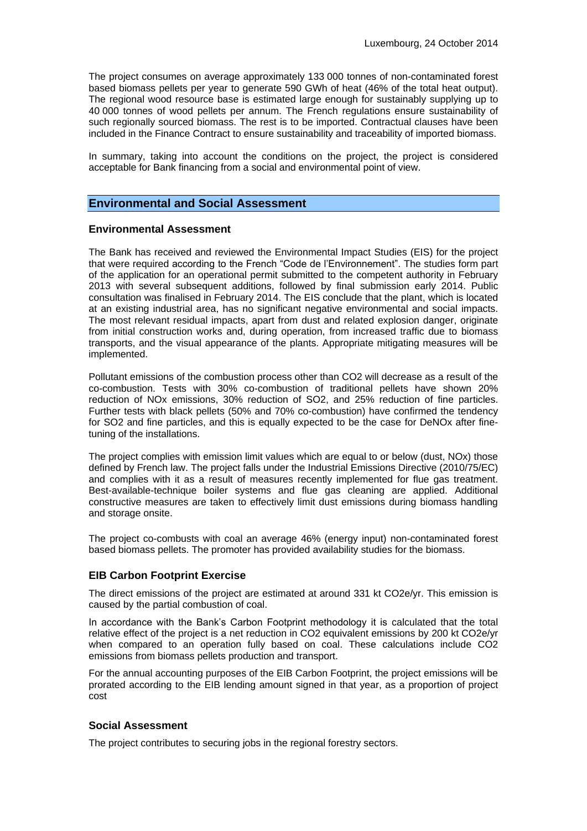The project consumes on average approximately 133 000 tonnes of non-contaminated forest based biomass pellets per year to generate 590 GWh of heat (46% of the total heat output). The regional wood resource base is estimated large enough for sustainably supplying up to 40 000 tonnes of wood pellets per annum. The French regulations ensure sustainability of such regionally sourced biomass. The rest is to be imported. Contractual clauses have been included in the Finance Contract to ensure sustainability and traceability of imported biomass.

In summary, taking into account the conditions on the project, the project is considered acceptable for Bank financing from a social and environmental point of view.

## **Environmental and Social Assessment**

#### **Environmental Assessment**

The Bank has received and reviewed the Environmental Impact Studies (EIS) for the project that were required according to the French "Code de l'Environnement". The studies form part of the application for an operational permit submitted to the competent authority in February 2013 with several subsequent additions, followed by final submission early 2014. Public consultation was finalised in February 2014. The EIS conclude that the plant, which is located at an existing industrial area, has no significant negative environmental and social impacts. The most relevant residual impacts, apart from dust and related explosion danger, originate from initial construction works and, during operation, from increased traffic due to biomass transports, and the visual appearance of the plants. Appropriate mitigating measures will be implemented.

Pollutant emissions of the combustion process other than CO2 will decrease as a result of the co-combustion. Tests with 30% co-combustion of traditional pellets have shown 20% reduction of NOx emissions, 30% reduction of SO2, and 25% reduction of fine particles. Further tests with black pellets (50% and 70% co-combustion) have confirmed the tendency for SO2 and fine particles, and this is equally expected to be the case for DeNOx after finetuning of the installations.

The project complies with emission limit values which are equal to or below (dust, NOx) those defined by French law. The project falls under the Industrial Emissions Directive (2010/75/EC) and complies with it as a result of measures recently implemented for flue gas treatment. Best-available-technique boiler systems and flue gas cleaning are applied. Additional constructive measures are taken to effectively limit dust emissions during biomass handling and storage onsite.

The project co-combusts with coal an average 46% (energy input) non-contaminated forest based biomass pellets. The promoter has provided availability studies for the biomass.

### **EIB Carbon Footprint Exercise**

The direct emissions of the project are estimated at around 331 kt CO2e/yr. This emission is caused by the partial combustion of coal.

In accordance with the Bank's Carbon Footprint methodology it is calculated that the total relative effect of the project is a net reduction in CO2 equivalent emissions by 200 kt CO2e/yr when compared to an operation fully based on coal. These calculations include CO2 emissions from biomass pellets production and transport.

For the annual accounting purposes of the EIB Carbon Footprint, the project emissions will be prorated according to the EIB lending amount signed in that year, as a proportion of project cost

### **Social Assessment**

The project contributes to securing jobs in the regional forestry sectors.